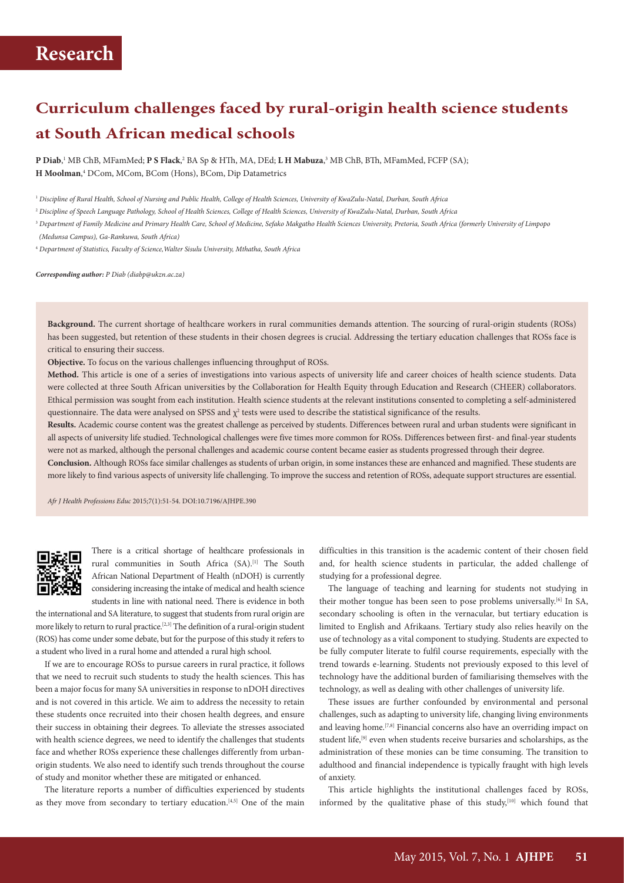# **Curriculum challenges faced by rural-origin health science students at South African medical schools**

**P Diab**, 1 MB ChB, MFamMed; **P S Flack**, 2 BA Sp & HTh, MA, DEd; **L H Mabuza**, 3 MB ChB, BTh, MFamMed, FCFP (SA); **H Moolman**, 4 DCom, MCom, BCom (Hons), BCom, Dip Datametrics

<sup>1</sup> *Discipline of Rural Health, School of Nursing and Public Health, College of Health Sciences, University of KwaZulu-Natal, Durban, South Africa*

<sup>2</sup> *Discipline of Speech Language Pathology, School of Health Sciences, College of Health Sciences, University of KwaZulu-Natal, Durban, South Africa*

<sup>3</sup> Department of Family Medicine and Primary Health Care, School of Medicine, Sefako Makgatho Health Sciences University, Pretoria, South Africa (formerly University of Limpopo  *(Medunsa Campus), Ga-Rankuwa, South Africa)*

<sup>4</sup> *Department of Statistics, Faculty of Science,Walter Sisulu University, Mthatha, South Africa*

*Corresponding author: P Diab (diabp@ukzn.ac.za)*

**Background.** The current shortage of healthcare workers in rural communities demands attention. The sourcing of rural-origin students (ROSs) has been suggested, but retention of these students in their chosen degrees is crucial. Addressing the tertiary education challenges that ROSs face is critical to ensuring their success.

**Objective.** To focus on the various challenges influencing throughput of ROSs.

**Method.** This article is one of a series of investigations into various aspects of university life and career choices of health science students. Data were collected at three South African universities by the Collaboration for Health Equity through Education and Research (CHEER) collaborators. Ethical permission was sought from each institution. Health science students at the relevant institutions consented to completing a self-administered questionnaire. The data were analysed on SPSS and  $\chi^2$  tests were used to describe the statistical significance of the results.

**Results.** Academic course content was the greatest challenge as perceived by students. Differences between rural and urban students were significant in all aspects of university life studied. Technological challenges were five times more common for ROSs. Differences between first- and final-year students were not as marked, although the personal challenges and academic course content became easier as students progressed through their degree.

**Conclusion.** Although ROSs face similar challenges as students of urban origin, in some instances these are enhanced and magnified. These students are more likely to find various aspects of university life challenging. To improve the success and retention of ROSs, adequate support structures are essential.

*Afr J Health Professions Educ* 2015;7(1):51-54. DOI:10.7196/AJHPE.390



There is a critical shortage of healthcare professionals in rural communities in South Africa (SA).<sup>[1]</sup> The South African National Department of Health (nDOH) is currently considering increasing the intake of medical and health science

students in line with national need. There is evidence in both

the international and SA literature, to suggest that students from rural origin are more likely to return to rural practice.[2,3] The definition of a rural-origin student (ROS) has come under some debate, but for the purpose of this study it refers to a student who lived in a rural home and attended a rural high school.

If we are to encourage ROSs to pursue careers in rural practice, it follows that we need to recruit such students to study the health sciences. This has been a major focus for many SA universities in response to nDOH directives and is not covered in this article. We aim to address the necessity to retain these students once recruited into their chosen health degrees, and ensure their success in obtaining their degrees. To alleviate the stresses associated with health science degrees, we need to identify the challenges that students face and whether ROSs experience these challenges differently from urbanorigin students. We also need to identify such trends throughout the course of study and monitor whether these are mitigated or enhanced.

The literature reports a number of difficulties experienced by students as they move from secondary to tertiary education.<sup>[4,5]</sup> One of the main difficulties in this transition is the academic content of their chosen field and, for health science students in particular, the added challenge of studying for a professional degree.

The language of teaching and learning for students not studying in their mother tongue has been seen to pose problems universally.<sup>[6]</sup> In SA, secondary schooling is often in the vernacular, but tertiary education is limited to English and Afrikaans. Tertiary study also relies heavily on the use of technology as a vital component to studying. Students are expected to be fully computer literate to fulfil course requirements, especially with the trend towards e-learning. Students not previously exposed to this level of technology have the additional burden of familiarising themselves with the technology, as well as dealing with other challenges of university life.

These issues are further confounded by environmental and personal challenges, such as adapting to university life, changing living environments and leaving home.<sup>[7,8]</sup> Financial concerns also have an overriding impact on student life,<sup>[9]</sup> even when students receive bursaries and scholarships, as the administration of these monies can be time consuming. The transition to adulthood and financial independence is typically fraught with high levels of anxiety.

This article highlights the institutional challenges faced by ROSs, informed by the qualitative phase of this study, $[10]$  which found that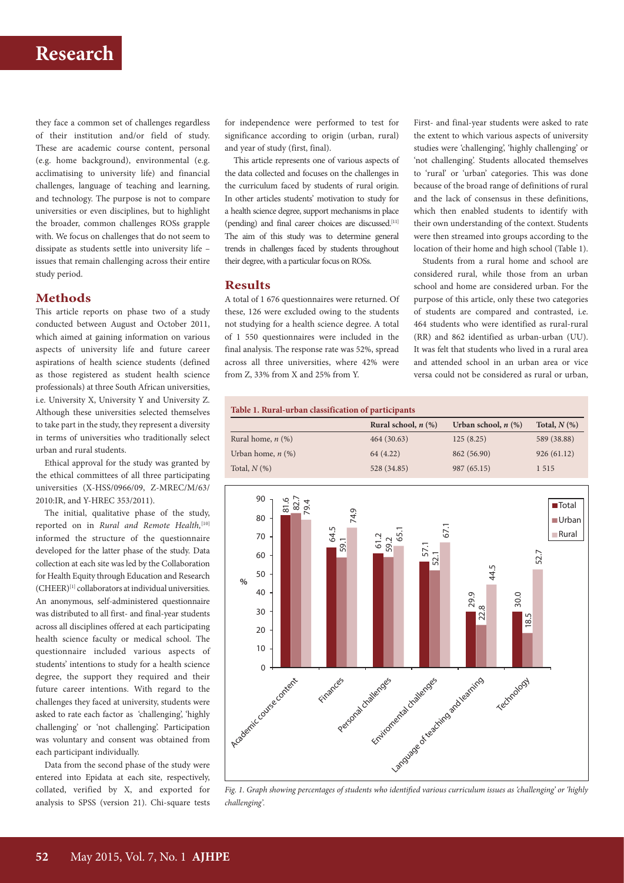# **Research**

they face a common set of challenges regardless of their institution and/or field of study. These are academic course content, personal (e.g. home background), environmental (e.g. acclimatising to university life) and financial challenges, language of teaching and learning, and technology. The purpose is not to compare universities or even disciplines, but to highlight the broader, common challenges ROSs grapple with. We focus on challenges that do not seem to dissipate as students settle into university life – issues that remain challenging across their entire study period.

## **Methods**

This article reports on phase two of a study conducted between August and October 2011, which aimed at gaining information on various aspects of university life and future career aspirations of health science students (defined as those registered as student health science professionals) at three South African universities, i.e. University X, University Y and University Z. Although these universities selected themselves to take part in the study, they represent a diversity in terms of universities who traditionally select urban and rural students.

Ethical approval for the study was granted by the ethical committees of all three participating universities (X-HSS/0966/09, Z-MREC/M/63/ 2010:IR, and Y-HREC 353/2011).

The initial, qualitative phase of the study, reported on in *Rural and Remote Health*,<sup>[10]</sup> informed the structure of the questionnaire developed for the latter phase of the study. Data collection at each site was led by the Collaboration for Health Equity through Education and Research (CHEER)[1] collaborators at individual universities. An anonymous, self-administered questionnaire was distributed to all first- and final-year students across all disciplines offered at each participating health science faculty or medical school. The questionnaire included various aspects of students' intentions to study for a health science degree, the support they required and their future career intentions. With regard to the challenges they faced at university, students were asked to rate each factor as 'challenging', 'highly challenging' or 'not challenging'. Participation was voluntary and consent was obtained from each participant individually.

Data from the second phase of the study were entered into Epidata at each site, respectively, collated, verified by X, and exported for analysis to SPSS (version 21). Chi-square tests

for independence were performed to test for significance according to origin (urban, rural) and year of study (first, final).

This article represents one of various aspects of the data collected and focuses on the challenges in the curriculum faced by students of rural origin. In other articles students' motivation to study for a health science degree, support mechanisms in place (pending) and final career choices are discussed.<sup>[11]</sup> The aim of this study was to determine general trends in challenges faced by students throughout their degree, with a particular focus on ROSs.

### **Results**

A total of 1 676 questionnaires were returned. Of these, 126 were excluded owing to the students not studying for a health science degree. A total of 1 550 questionnaires were included in the final analysis. The response rate was 52%, spread across all three universities, where 42% were from Z, 33% from X and 25% from Y.

First- and final-year students were asked to rate the extent to which various aspects of university studies were 'challenging', 'highly challenging' or 'not challenging'. Students allocated themselves to 'rural' or 'urban' categories. This was done because of the broad range of definitions of rural and the lack of consensus in these definitions, which then enabled students to identify with their own understanding of the context. Students were then streamed into groups according to the location of their home and high school (Table 1).

Students from a rural home and school are considered rural, while those from an urban school and home are considered urban. For the purpose of this article, only these two categories of students are compared and contrasted, i.e. 464 students who were identified as rural-rural (RR) and 862 identified as urban-urban (UU). It was felt that students who lived in a rural area and attended school in an urban area or vice versa could not be considered as rural or urban,

| Table 1. Rural-urban classification of participants |                          |                          |                   |  |  |  |  |
|-----------------------------------------------------|--------------------------|--------------------------|-------------------|--|--|--|--|
|                                                     | Rural school, $n$ $(\%)$ | Urban school, $n$ $(\%)$ | Total, $N$ $(\%)$ |  |  |  |  |
| Rural home, $n$ (%)                                 | 464 (30.63)              | 125(8.25)                | 589 (38.88)       |  |  |  |  |
| Urban home, $n$ $(\%)$                              | 64 (4.22)                | 862 (56.90)              | 926(61.12)        |  |  |  |  |
| Total, $N$ $(\%)$                                   | 528 (34.85)              | 987 (65.15)              | 1.515             |  |  |  |  |



*Fig. 1. Graph showing percentages of students who identified various curriculum issues as 'challenging' or 'highly challenging'.*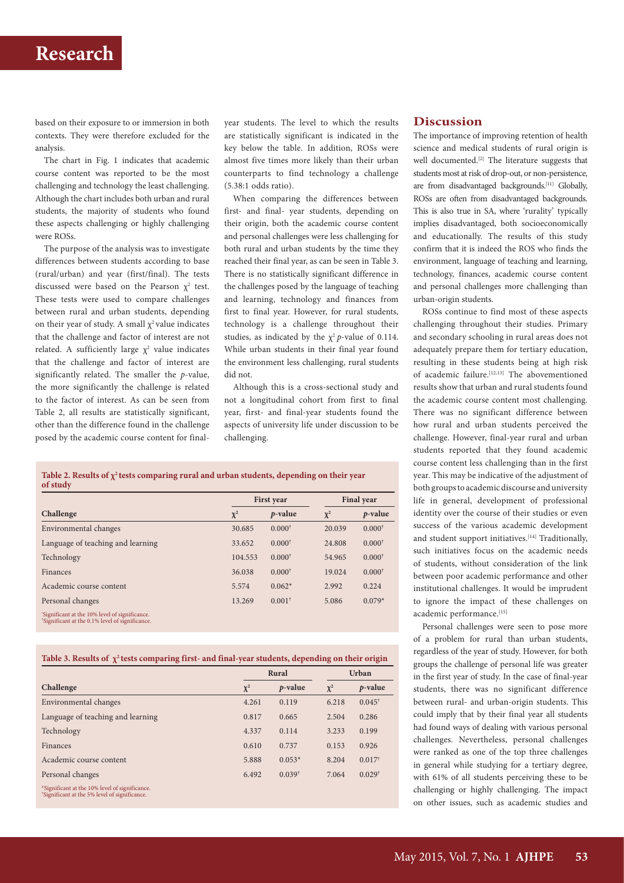# **Research**

based on their exposure to or immersion in both contexts. They were therefore excluded for the analysis.

The chart in Fig. 1 indicates that academic course content was reported to be the most challenging and technology the least challenging. Although the chart includes both urban and rural students, the majority of students who found these aspects challenging or highly challenging were ROSs.

The purpose of the analysis was to investigate differences between students according to base (rural/urban) and year (first/final). The tests discussed were based on the Pearson  $\chi^2$  test. These tests were used to compare challenges between rural and urban students, depending on their year of study. A small  $\chi^2$  value indicates that the challenge and factor of interest are not related. A sufficiently large  $\chi^2$  value indicates that the challenge and factor of interest are significantly related. The smaller the *p*-value, the more significantly the challenge is related to the factor of interest. As can be seen from Table 2, all results are statistically significant, other than the difference found in the challenge posed by the academic course content for finalyear students. The level to which the results are statistically significant is indicated in the key below the table. In addition, ROSs were almost five times more likely than their urban counterparts to find technology a challenge (5.38:1 odds ratio).

When comparing the differences between first- and final- year students, depending on their origin, both the academic course content and personal challenges were less challenging for both rural and urban students by the time they reached their final year, as can be seen in Table 3. There is no statistically significant difference in the challenges posed by the language of teaching and learning, technology and finances from first to final year. However, for rural students, technology is a challenge throughout their studies, as indicated by the  $\chi^2$  *p*-value of 0.114. While urban students in their final year found the environment less challenging, rural students did not.

Although this is a cross-sectional study and not a longitudinal cohort from first to final year, first- and final-year students found the aspects of university life under discussion to be challenging.

Table 2. Results of  $\chi^2$  tests comparing rural and urban students, depending on their year **of study**

|                                                                                                  | <b>First year</b> |                    | <b>Final year</b> |                    |
|--------------------------------------------------------------------------------------------------|-------------------|--------------------|-------------------|--------------------|
| Challenge                                                                                        | $\chi^2$          | $p$ -value         | $\chi^2$          | $p$ -value         |
| Environmental changes                                                                            | 30.685            | 0.000 <sup>†</sup> | 20.039            | $0.000^{\dagger}$  |
| Language of teaching and learning                                                                | 33.652            | $0.000*$           | 24.808            | $0.000^{\dagger}$  |
| Technology                                                                                       | 104.553           | 0.000 <sup>†</sup> | 54.965            | 0.000 <sup>†</sup> |
| Finances                                                                                         | 36.038            | 0.000 <sup>†</sup> | 19.024            | 0.000 <sup>†</sup> |
| Academic course content                                                                          | 5.574             | $0.062*$           | 2.992             | 0.224              |
| Personal changes                                                                                 | 13.269            | $0.001^+$          | 5.086             | $0.079*$           |
| 'Significant at the 10% level of significance.<br>Significant at the 0.1% level of significance. |                   |                    |                   |                    |

Table 3. Results of  $χ²$  tests comparing first- and final-year students, depending on their origin

|                                                                                                 | Rural    |                      | Urban    |                   |
|-------------------------------------------------------------------------------------------------|----------|----------------------|----------|-------------------|
| Challenge                                                                                       | $\chi^2$ | $p$ -value           | $\chi^2$ | $p$ -value        |
| Environmental changes                                                                           | 4.261    | 0.119                | 6.218    | $0.045^{\dagger}$ |
| Language of teaching and learning                                                               | 0.817    | 0.665                | 2.504    | 0.286             |
| Technology                                                                                      | 4.337    | 0.114                | 3.233    | 0.199             |
| Finances                                                                                        | 0.610    | 0.737                | 0.153    | 0.926             |
| Academic course content                                                                         | 5.888    | $0.053*$             | 8.204    | $0.017^{\dagger}$ |
| Personal changes                                                                                | 6.492    | $0.039$ <sup>t</sup> | 7.064    | $0.029^{\dagger}$ |
| *Significant at the 10% level of significance.<br>'Significant at the 5% level of significance. |          |                      |          |                   |

#### **Discussion**

The importance of improving retention of health science and medical students of rural origin is well documented.<sup>[2]</sup> The literature suggests that students most at risk of drop-out, or non-persistence, are from disadvantaged backgrounds.[11] Globally, ROSs are often from disadvantaged backgrounds. This is also true in SA, where 'rurality' typically implies disadvantaged, both socioeconomically and educationally. The results of this study confirm that it is indeed the ROS who finds the environment, language of teaching and learning, technology, finances, academic course content and personal challenges more challenging than urban-origin students.

ROSs continue to find most of these aspects challenging throughout their studies. Primary and secondary schooling in rural areas does not adequately prepare them for tertiary education, resulting in these students being at high risk of academic failure.<sup>[12,13]</sup> The abovementioned results show that urban and rural students found the academic course content most challenging. There was no significant difference between how rural and urban students perceived the challenge. However, final-year rural and urban students reported that they found academic course content less challenging than in the first year. This may be indicative of the adjustment of both groups to academic discourse and university life in general, development of professional identity over the course of their studies or even success of the various academic development and student support initiatives.<sup>[14]</sup> Traditionally, such initiatives focus on the academic needs of students, without consideration of the link between poor academic performance and other institutional challenges. It would be imprudent to ignore the impact of these challenges on academic performance.<sup>[15]</sup>

Personal challenges were seen to pose more of a problem for rural than urban students, regardless of the year of study. However, for both groups the challenge of personal life was greater in the first year of study. In the case of final-year students, there was no significant difference between rural- and urban-origin students. This could imply that by their final year all students had found ways of dealing with various personal challenges. Nevertheless, personal challenges were ranked as one of the top three challenges in general while studying for a tertiary degree, with 61% of all students perceiving these to be challenging or highly challenging. The impact on other issues, such as academic studies and